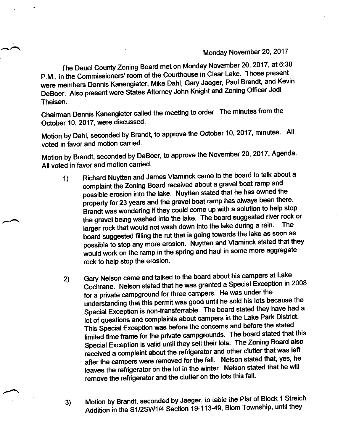## MondaY November 20, 2017

The Deuel County Zoning Board met on Monday November 20, 2017, at 6:30 P.M., in the Commissioners' room of the Courthouse in Clear Lake. Those present were members Dennis Kanengieter, Mike Dahl, Gary Jaeger, Paul Brandt, and Kevin DeBoer. Also present were States Attorney John Knight and Zoning Officer Jodi Theisen.

Chairman Dennis Kanengieter called the meeting to order. The minutes from the October 10,2017, were discussed.

Motion by Dahl, seconded by Brandt, to approve the October 10, 2017, minutes. All voted in favor and motion carried.

Motion by Brandt, seconded by DeBoer, to approve the November 20, 2017, Agenda. All voted in favor and motion carried.

- 1) Richard Nuytten and James Vlaminck came to the board to talk about a complaint the Zoning Board received about a gravel boat ramp and possible erosion into the lake. Nuytten stated that he has owned the property for 23 years and the gravel boat ramp has always been there. Brandt was wondering if they could come up with a solution to help stop the gravel being washed into the lake. The board suggested river rock or larger rock that would not wash down into the lake during a rain. board suggested filling the rut that is going towards the lake as soon as possible to stop any more erosion. Nuytten and Vlaminck stated that they would work on the ramp in the spring and haul in some more aggregate rock to help stop the erosion.
- 2) Gary Nelson came and talked to the board about his campers at Lake cochrane. Nelson stated that he was granted a special Exception in <sup>2008</sup> for a private campground for three campers. He was under the understanding that this permit was good until he sold his lots because the Special Exception is non-transferrable. The board stated they have had a lot of questions and complaints about campers in the Lake Park District. This Special Exception was before the concerns and before the stated limited time frame for the private campgrounds. The board stated that this Special Exception is valid until they sell their lots. The Zoning Board also received a complaint about the refrigerator and other clutter that was left after the campers were removed for the fall. Nelson stated that, yes, he leaves the refrigerator on the lot in the winter. Nelson stated that he will remove the refrigerator and the clutter on the lots this fall.
- 3) Motion by Brandt, seconded by Jaeger, to table the Plat of Block 1 Streich Addition in the S1/2SW1/4 Section 19-113-49, Blom Township, until they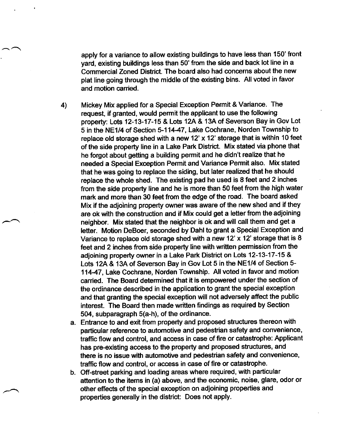apply for a variance to allow existing buildings to have less than 150' front yard, existing buildings less than 50'from the side and back lot line in a Commercial Zoned District. The board also had concerns about the new plat line going through the middle of the existing bins. All voted in favor and motion carried.

4) Mickey Mix applied for a Special Exception Permit & Variance. The request, if granted, would permit the applicant to use the following property: Lots 12-13-17-15 & Lots 12A & 13A of Severson Bay in Gov Lot 5 in the NE1/4 of Section 5-11447, Lake Cochrane, Norden Township to replace old storage shed with a new 12'  $\times$  12' storage that is within 10 feet of the side property line in a Lake Park District. Mix stated via phone that he forgot about getting a building permit and he didn't realize that he needed a Special Exception Permit and Variance Permit also. Mix stated that he was going to replace the siding, but later realized that he should replace the whole shed. The existing pad he used is 8 feet and 2 inches from the side property line and he is more than 50 feet from the high water mark and more than 30 feet from the edge of the road. The board asked Mix if the adjoining property owner was aware of the new shed and if they are ok with the construction and if Mix could get a letter from the adjoining neighbor. Mix stated that the neighbor is ok and will call them and get a letter. Motion DeBoer, seconded by Dahl to grant a Special Exception and Variance to replace old storage shed with a new 12' x 12' storage that is  $8$ feet and 2 inches from side property line with written permission from the adjoining property owner in a Lake Park District on Lots 12-13-17-15 & Lots 12A & 13A of Severson Bay in Gov Lot 5 in the NE1/4 of Section 5- 11447, Lake Cochrane, Norden Township. All voted in favor and motion carried. The Board determined that it is empowered under the section of the ordinance described in the application to grant the special exception and that granting the special exception will not adversely affect the public interest. The Board then made written findings as required by Section 504, subparagraph S(a-h), of the ordinance.

- Entrance to and exit from property and proposed structures thereon with particular reference to automotive and pedestrian safety and convenience, traffic flow and control, and access in case of fire or catastrophe: Applicant has pre-existing access to the property and proposed structures, and there is no issue with automotive and pedestrian safety and convenience, traffic flow and control, or access in case of fire or catastrophe.
- Off-street parking and loading areas where required, with particular b.attention to the items in (a) above, and the economic, noise, glare, odor or other effects of the special exception on adjoining properties and properties generally in the district: Does not apply.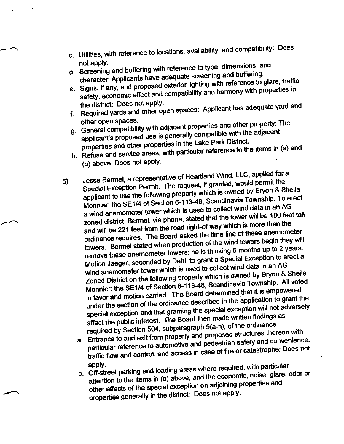- c. Utilities, with reference to locations, availability, and compatibility: Does not apply.
- d. Screening and buffering with reference to type, dimensions, and character: Applicants have adequate screening and buffering.
- e. Signs, if any, and proposed exterior lighting with reference to glare, traffic safety, economic effect and compatibility and harmony with properties in the district: Does not apply.
- f. Required yards and other open spaces: Applicant has adequate yard and other open spaces.
- g. General compatibility with adjacent properties and other property: The
- applicant's proposed use is generally compatible with the adjacent properties and other properties in the Lake Park District. h. Refuse and service areas, with particular reference to the items in (a) and
- (b) above: Does not apply.
- Jesse Bermel, a representative of Heartland Wind, LLC, applied for a Special Exception Permit. The request, if granted, would permit the  $5)$ applicant to use the following property which is owned by Bryon & Sheila Monnier: the SE1/4 of Section 6-113-48, Scandinavia Township. To erect a wind anemometer tower which is used to collect wind data in an AG zoned district. Bermel, via phone, stated that the tower will be 180 feet tall and will be 221 feet from the road right-of-way which is more than the ordinance requires. The Board asked the time line of these anemometer towers. Bermel stated when production of the wind towers begin they will remove these anemometer towers; he is thinking 6 months up to 2 years. Motion Jaeger, seconded by Dahl, to grant a Special Exception to erect a wind anemometer tower which is used to collect wind data in an AG Zoned District on the following property which is owned by Bryon & Sheila Monnier: the SE1/4 of Section 6-113-48, Scandinavia Township. All voted in favor and motion carried. The Board determined that it is empowered under the section of the ordinance described in the application to grant the special exception and that granting the special exception will not adversely affect the public interest. The Board then made written findings as required by Section 504, subparagraph 5(a-h), of the ordinance.
	- a. Entrance to and exit from property and proposed structures thereon with particular reference to automotive and pedestrian safety and convenience, traffic flow and control, and access in case of fire or catastrophe: Does not
	- b. Off-street parking and loading areas where required, with particular attention to the items in (a) above, and the economic, noise, glare, odor or other effects of the special exception on adjoining properties and properties generally in the district: Does not apply.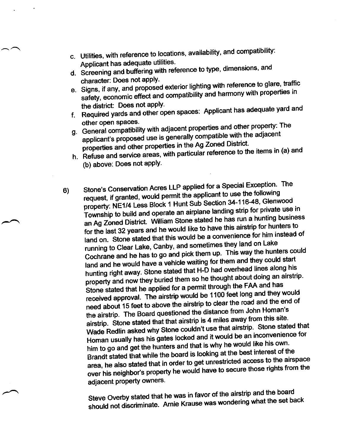- c. Utilities, with reference to locations, availability, and compatibility:<br>Applicant has adequate utilities. Applicant has adequate utilities.<br>Guasaire and buffering with rea
- Applicant has a serving with reference to type, dimensions, and<br>d. Screening and buffering with reference to type, dimensions, and
- character: Does not apply.<br>e. Signs, if any, and proposed exterior lighting with reference to glare, traffic safety, economic effect and compatibility and harmony with properties in the district: Does not apply.
- the district. Bods not apply the spaces: Applicant has adequate yard and<br>f. Required yards and other open spaces: Applicant has adequate yard and
- other open spaces.<br>g. General compatibility with adjacent properties and other property: The applicant's proposed use is generally compatible with the adjacent properties and other properties in the Ag Zoned District.
- h. Refuse and service areas, with particular reference to the items in (a) and (b) above: Does not apply.
- Stone's Conservation Acres LLP applied for a Special Exception. The request, if granted, would permit the applicant to use the following property: NE1/4 Less Block 1 Hunt Sub Section 34-116-48, Glenwood Township to build and operate an airplane landing strip for private use in<br>an Ag Zoned District. William Stone stated he has run a hunting business I ownship to baile and spirit spirit signals an Ag Zoned District. William Stone stated he has run a hunting business<br>for the last 32 years and he would like to have this airstrip for hunters to land on. Stone stated that this would be a convenience for him instead of running to Clear Lake, Canby, and sometimes they land on Lake Cochrane and he has to go and pick them up. This way the hunters could land and he would have a vehicle waiting for them and they could start hunting right away. Stone stated that H-D had overhead lines along his property and now they buried them so he thought about doing an airstrip. Stone stated that he apptied for a permit through the FAA and has received approval. The airstrip would be 1100 feet long and they would received approval. The direct proceed is the road and the end of need about 15 feet to above the airstrip to clear the road and the end of heed about To receive<br>the airstrip. The Board questioned the distance from John Homan's airstrip. Stone stated that that airstrip is 4 miles away from this site. airstrip. Stone stated that that allower in<br>Wade Redlin asked why Stone couldn't use that airstrip. Stone stated that wade Redint asked wife concretence for<br>Homan usually has his gates locked and it would be an inconvenience for Homan usually had the gates form.<br>him to go and get the hunters and that is why he would like his own. Brandt stated that while the board is looking at the best interest of the area, he also stated that in order to get unrestricted access to the airspace over his neighbor's property he would have to secure those rights from the adjacent property owners. 6)

Steve Overby stated that he was in favor of the airstrip and the board Steve Overby stated that he was in ravor of the allettic and in<br>should not discriminate. Arnie Krause was wondering what the set back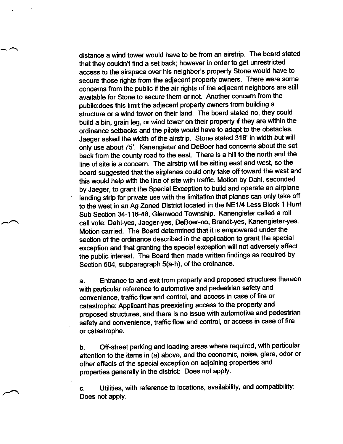distance a wind tower would have to be from an airstrip. The board stated that they couldn't find a set back; however in order to get unrestricted access to the airspace over his neighbor's properly Stone would have to secure those rights from the adjacent property owners. There were some concerns from the public if the air rights of the adjacent neighbors are still available for Stone to secure them or not. Another concern from the public:does this limit the adjacent property owners from building a structure or a wind tower on their land. The board stated no, they could build a bin, grain leg, or wind tower on their property if they are within the ordinance setbacks and the pilots would have to adapt to the obstacles. Jaeger asked the width of the airstrip. Stone stated 318' in width but will only use about 75'. Kanengieter and DeBoer had concerns about the set back from the county road to the east. There is a hill to the north and the line of site is a concern. The airstrip will be sitting east and west, so the board suggested that the airplanes could only take off toward the west and this would help with the line of site with traffic. Motion by Dahl, seconded by Jaeger, to grant the Special Exception to build and operate an airplane landing strip for private use with the limitation that planes can only take off to the west in an Ag Zoned District located in the NE1/4 Less Block 1 Hunt Sub Section 34-116-48, Glenwood Township. Kanengieter called a roll call vote: Dahl-yes, Jaeger-yes, DeBoer-no, Brandt-yes, Kanengieter-yes. Motion carried. The Board determined that it is empowered under the section of the ordinance described in the application to grant the special exception and that granting the special exception will not adversely affect the public interest. The Board then made written findings as required by Section 504, subparagraph 5(a-h), of the ordinance.

a. Entrance to and exit from property and proposed structures thereon with particular reference to automotive and pedestrian safety and convenienee, trafiic flow and control, and access in case of fire or catastrophe: Applicant has preexisting access to the property and proposed structures, and there is no issue with automotive and pedestrian safety and convenience, traffic flow and control, or access in case of fire or catastrophe.

b. Off-street parking and loading areas where required, with particular attention to the items in (a) above, and the economic, noise, glare, odor or other effects of the special exception on adjoining properties and properties generally in the district: Does not apply.

c. Utilities, with reference to locations, availability, and compatibility: Does not apply.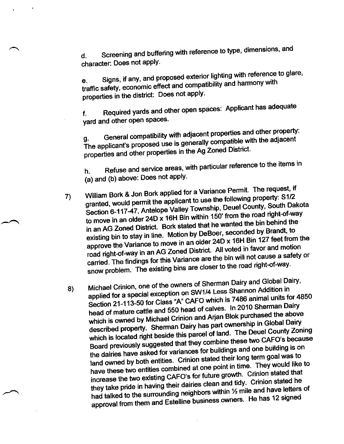d. Screening and buffering with reference to type, dimensions, and character: Does not apply.

Signs, if any, and proposed exterior lighting with reference to glare, traffic safety, economic effect and compatibility and harmony with properties in the district: Does not apply.

f. Required yards and other open spaces: Applicant has adequate yard and other open spaces.

g. General compatibility with adjacent properties and other property:<br>The adjacent The applicant's proposed use is generally compatible with the adjacent properties and other properties in the Ag Zoned District.<br>properties and other properties in the Ag Zoned District.

h. Refuse and service areas, with particular reference to the items in (a) and (b) above: Does not apply.

- William Bork & Jon Bork applied for a Variance Permit. The request, if granted, would permit the applicant to use the following property: S1/2 Section 6-117-47, Antelope Valley Township, Deuel County, South Dakota to move in an older 24D x 16H Bin within 150' from the road right-of-way in an AG Zoned District. Bork stated that he wanted the bin behind the existing bin to stay in line. Motion by DeBoer, seconded by Brandt, to approve the Variance to move in an older 24D x 16H Bin 127 feet from the approve the vanance to move in the District. All voted in favor and motion<br>road right-of-way in an AG Zoned District. All voted in favor and motion road right-of-way in an AG Zoned Bloaren The lin will not cause a safety or<br>carried. The findings for this Variance are the bin will not cause a safety or carried. The miding of the right are closer to the road right-of-way<br>snow problem. The existing bins are closer to the road right-of-way 7)
- Michael Crinion, one of the owners of Sherman-Dairy and Global Dairy, Michael Chriton, one of the entries.<br>Applied for a special exception on SW1/4 Less Shannon Addition in applied for a special exception on once which is 7486 animal units for 4850<br>Section 21-113-50 for Class "A" CAFO which is 7486 animal units for 4850 head of mature cattle and 550 head of calves. In 2010 Sherman Dairy head of mature cattle and observed the Arjan Blok purchased the above<br>which is owned by Michael Crinion and Arjan Blok purchased the above described property. Sherman Dairy has part ownership in Global Dairy which is located right beside this parcel of land. The Deuel County Zoning Board previously suggested that they combine these two CAFO's because the dairies have asked for variances for buildings and one building is on bodie prefixed by a sked for variances for buildings and one pullulity is of<br>land owned by both entities. Crinion stated their long term goal was to<br>land owned by both entities. Crinion stated their long term ovall like land owned by both entities. Chillion clare and time. They would like to<br>have these two entities combined at one point in time. They would like to have these two entities combined at one per analytic Crinion stated that<br>increase the two existing CAFO's for future growth. Crinion stated he increase the two existing only of the range and tidy. Crinion stated he<br>they take pride in having their dairies clean and tidy. Crinion stated he had talked to the naving their dance created and and have letters of<br>surrounding neighbors within 1/2 mile and have letters of approval from them and laing mage. 8)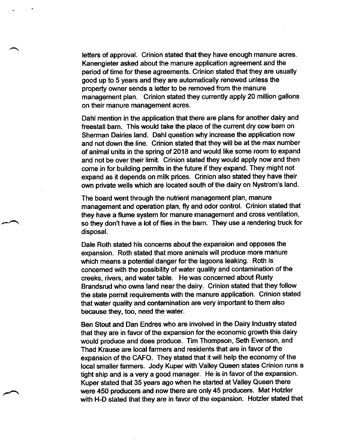letters of approval. Crinion stated that they have enough manure acres. Kanengieter asked about the manure application agreement and the period of time for these agreements. Crinion stated that they are usually good up to 5 years and they are automatically renewed unless the property owner sends a letter to be removed from the manure management plan. Crinion stated they currently apply 20 million gallons on their manure management acres.

Dahl mention in the application that there are plans for another dairy and freestall bam. This would take the place of the curent dry cow barn on Sherman Dairies land. Dahl question why increase the application now and not down the line. Crinion stated that they will be at the max number of animal units in the spring of 2018 and would like some room to expand and not be over their limit. Crinion stated they would apply now and then come in for building permits in the future if they expand. They might not expand as it depends on milk prices. Crinion also stated they have their own private wells which are located south of the dairy on Nystrom's land.

The board went through the nutrient management plan, manure management and operation plan, fly and odor control. Crinion stated that they have a flume system for manure management and cross ventilation, so they don't have a lot of flies in the barn. They use a rendering truck for disposal.

Dale Roth stated his concems about the expansion and opposes the expansion. Roth stated that more animals will produce more.manure which means a potential danger for the lagoons leaking. Roth is concerned with the possibility of water quality and contamination of the creeks, rivers, and water table. He was concerned about Rusty Brandsrud who owns land near the dairy. Crinion stated that they follow the state permit requirements with the manure application. Crinion stated that water quality and contamination are very important to them also because they, too, need the water.

Ben Stout and Dan Endres who are involved in the Dairy Industry stated that they are in favor of the expansion for the economic growth this dairy would produce and does produce. Tim Thompson, Seth Evenson, and Thad Krause are local farmers and residents that are in favor of the expansion of the CAFO. They stated that it will help the economy of the local smaller farmers. Jody Kuper with Valley Queen states Crinion runs a tight ship and is a very a good manager. He is in favor of the expansion. Kuper stated that 35 years ago when he started at Valley Queen there were 450 producers and now there are only 45 producers. Mat Hotzler with H-D stated that they are in favor of the expansion. Hotzler stated that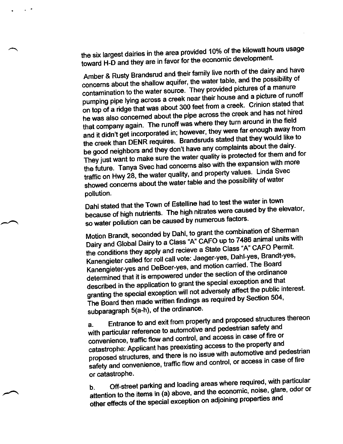the six largest dairies in the area provided 10% of the kilowatt hours usage toward H-D and they are in favor for the economic development.

 $\sim$ 

Amber & Rusty Brandsrud and their family live north of the dairy and have concerns about the shallow aquifer, the water table, and the possibility of contamination to the water source. They provided pictures of a manure pumping pipe lying across a creek near their house and a picture of runoff on top of a ridge that was about 300 feet from a creek. Crinion stated that he was also concerned about the pipe across the creek and has not hired that company again. The runoff was where they turn around in the field and it didn't get incorporated in; however, they were far enough away from the creek than DENR requires. Brandsruds stated that they would like to be good neighbors and they don't have any complaints about the dairy. They just want to make sure the water quality is protected for them and for the future. Tanya Svec had concerns also with the expansion with more traffic on Hwy 28, the water quality, and property values. Linda Svec showed concerns about the water table and the possibility of water pollution.

Dahl stated that the Town of Estelline had to test the water in town because of high nutrients. The high nitrates were caused by the elevator, so water pollution can be caused by numerous factors.

Motion Brandt, seconded by Dahl, to grant the combination of Sherman Dairy and Global Dairy to a Class "A" CAFO up to 7486 animal units with the conditions they apply and recieve a State Class "A" CAFO Permit. Kanengieter called for roll call vote: Jaeger-yes, Dahl-yes, Brandt-yes, Kanengieter-yes and DeBoer-yes, and motion carried. The Board determined that it is empowered under the section of the ordinance described in the application to grant the special exception and that granting the special exception will not adversely affect the public interest. The Board then made written findings as required by Section 504, subparagraph 5(a-h), of the ordinance.

Entrance to and exit from property and proposed structures thereon  $a.$ with particular reference to automotive and pedestrian safety and convenience, traffic flow and control, and access in case of fire or catastrophe: Applicant has preexisting access to the property and proposed structures, and there is no issue with automotive and pedestrian safety and convenience, traffic flow and control, or access in case of fire or catastrophe.

Off-street parking and loading areas where required, with particular attention to the items in (a) above, and the economic, noise, glare, odor or other effects of the special exception on adjoining properties and